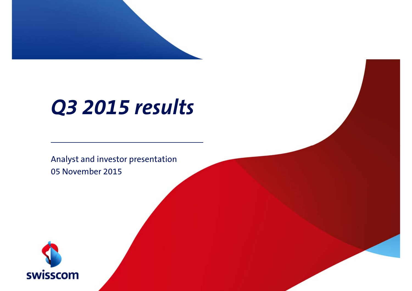

# *Q3 2015 results*

Analyst and investor presentation 05 November 2015

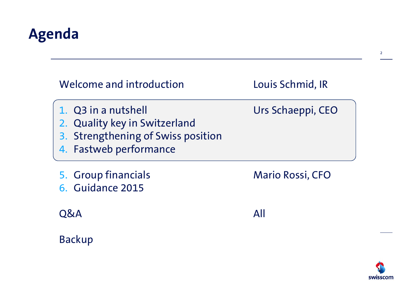## **Agenda**

| Welcome and introduction                                                                                             | Louis Schmid, IR        |
|----------------------------------------------------------------------------------------------------------------------|-------------------------|
| 1. Q3 in a nutshell<br>2. Quality key in Switzerland<br>3. Strengthening of Swiss position<br>4. Fastweb performance | Urs Schaeppi, CEO       |
| 5. Group financials<br>6. Guidance 2015                                                                              | <b>Mario Rossi, CFO</b> |
|                                                                                                                      |                         |
| <b>O&amp;A</b>                                                                                                       | All                     |

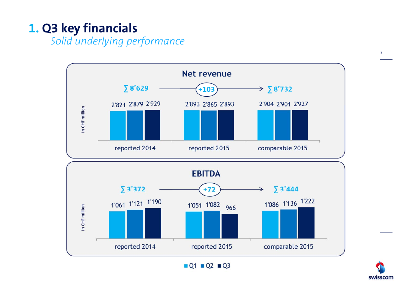### **1. Q3 key financials**

*Solid underlying performance*





3

 $Q1$   $Q2$   $Q3$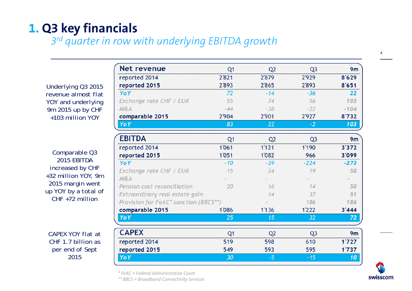#### **1. Q3 key financials**

*3r<sup>d</sup> quarter in row with underlying EBITDA growth*

*Underlying Q3 2015 revenue almost flat YOY and underlying 9m 2015 up by CHF +103 million YOY*

*Comparable Q3 2015 EBITDA increased by CHF +32 million YOY, 9m 2015 margin went up YOY by a total of CHF +72 million*

*CAPEX YOY flat at CHF 1.7 billion as per end of Sept 2015*

| <b>Net revenue</b>                    | Q <sub>1</sub> | Q <sub>2</sub> | Q <sub>3</sub> | 9m             |
|---------------------------------------|----------------|----------------|----------------|----------------|
| reported 2014                         | 2'821          | 2'879          | 2'929          | 8'629          |
| reported 2015                         | 2'893          | 2'865          | 2'893          | 8'651          |
| YoY                                   | 72             | $-14$          | $-36$          | 22             |
| Exchange rate CHF / EUR               | 55             | 74             | 56             | 185            |
| M&A                                   | $-44$          | $-38$          | $-22$          | $-104$         |
| comparable 2015                       | 2'904          | 2'901          | 2'927          | 8'732          |
| YoY                                   | 83             | 22             | $-2$           | 103            |
| <b>EBITDA</b>                         | Q1             | Q <sub>2</sub> | Q <sub>3</sub> | 9 <sub>m</sub> |
| reported 2014                         | 1'061          | 1'121          | 1'190          | 3'372          |
| reported 2015                         | 1'051          | 1'082          | 966            | 3'099          |
| YoY                                   | $-10$          | $-39$          | $-224$         | $-273$         |
| Exchange rate CHF / EUR               | 15             | 24             | 19             | 58             |
| M&A                                   |                |                |                |                |
| Pension cost reconciliation           | 20             | 16             | 14             | 50             |
| Extraordinary real estate gain        |                | 14             | 37             | 51             |
| Provision for FeAC* sanction (BBCS**) |                |                | 186            | 186            |
| comparable 2015                       | 1'086          | 1'136          | 1'222          | 3'444          |
| YoY                                   | 25             | 15             | 32             | 72             |
| <b>CAPEX</b>                          | Q <sub>1</sub> | Q <sub>2</sub> | Q <sub>3</sub> | 9 <sub>m</sub> |
| reported 2014                         | 519            | 598            | 610            | 1'727          |
| reported 2015                         | 549            | 593            | 595            | 1'737          |
| YoY                                   | 30             | $-5$           | $-15$          | 10             |



4

*\* FeAC = Federal Administrative Court*

*\*\* BBCS = Broadband Connectivity Services*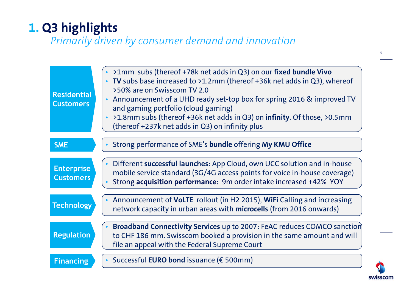### **1. Q3 highlights**

#### *Primarily driven by consumer demand and innovation*

| <b>Residential</b><br><b>Customers</b> | • >1mm subs (thereof +78k net adds in Q3) on our fixed bundle Vivo<br>• TV subs base increased to >1.2mm (thereof +36k net adds in Q3), whereof<br>>50% are on Swisscom TV 2.0<br>Announcement of a UHD ready set-top box for spring 2016 & improved TV<br>$\bullet$<br>and gaming portfolio (cloud gaming)<br>>1.8mm subs (thereof +36k net adds in Q3) on infinity. Of those, >0.5mm<br>(thereof +237k net adds in Q3) on infinity plus |
|----------------------------------------|-------------------------------------------------------------------------------------------------------------------------------------------------------------------------------------------------------------------------------------------------------------------------------------------------------------------------------------------------------------------------------------------------------------------------------------------|
| <b>SME</b>                             | Strong performance of SME's bundle offering My KMU Office                                                                                                                                                                                                                                                                                                                                                                                 |
| <b>Enterprise</b><br><b>Customers</b>  | Different successful launches: App Cloud, own UCC solution and in-house<br>$\bullet$<br>mobile service standard (3G/4G access points for voice in-house coverage)<br>Strong acquisition performance: 9m order intake increased +42% YOY                                                                                                                                                                                                   |
| <b>Technology</b>                      | • Announcement of VoLTE rollout (in H2 2015), WiFi Calling and increasing<br>network capacity in urban areas with microcells (from 2016 onwards)                                                                                                                                                                                                                                                                                          |
| <b>Regulation</b>                      | Broadband Connectivity Services up to 2007: FeAC reduces COMCO sanction<br>to CHF 186 mm. Swisscom booked a provision in the same amount and will<br>file an appeal with the Federal Supreme Court                                                                                                                                                                                                                                        |
| <b>Financing</b>                       | Successful EURO bond issuance ( $\epsilon$ 500mm)<br>$\bullet$                                                                                                                                                                                                                                                                                                                                                                            |

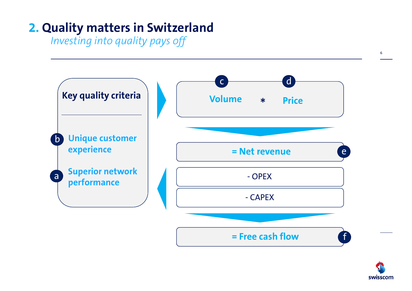### **2. Quality matters in Switzerland**

*Investing into quality pays off*



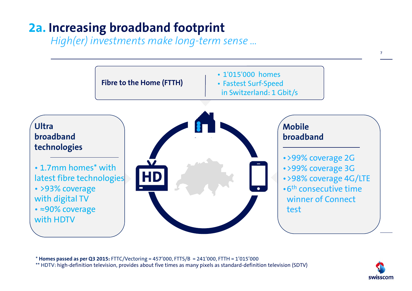### **2a. Increasing broadband footprint**

*High(er) investments make long-term sense ...*



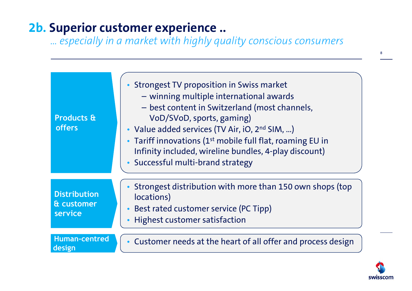### **2b. Superior customer experience ..**

*… especially in a market with highly quality conscious consumers*

| <b>Products &amp;</b><br><b>offers</b>       | • Strongest TV proposition in Swiss market<br>- winning multiple international awards<br>- best content in Switzerland (most channels,<br>VoD/SVoD, sports, gaming)<br>• Value added services (TV Air, iO, 2 <sup>nd</sup> SIM, )<br>• Tariff innovations (1 <sup>st</sup> mobile full flat, roaming EU in<br>Infinity included, wireline bundles, 4-play discount)<br>• Successful multi-brand strategy |
|----------------------------------------------|----------------------------------------------------------------------------------------------------------------------------------------------------------------------------------------------------------------------------------------------------------------------------------------------------------------------------------------------------------------------------------------------------------|
| <b>Distribution</b><br>& customer<br>service | Strongest distribution with more than 150 own shops (top<br>locations)<br>Best rated customer service (PC Tipp)<br>Highest customer satisfaction<br>$\bullet$                                                                                                                                                                                                                                            |
| <b>Human-centred</b><br>design               | Customer needs at the heart of all offer and process design                                                                                                                                                                                                                                                                                                                                              |

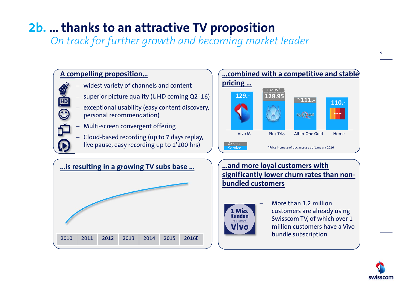### **2b. … thanks to an attractive TV proposition**

*On track for further growth and becoming market leader*

#### **A compelling proposition…**

<u>HD</u>

 $\widehat{\mathbf{C}}$ 

- −widest variety of channels and content
- −superior picture quality (UHD coming Q2 '16)
- − exceptional usability (easy content discovery, personal recommendation)
- − Multi-screen convergent offering
- − Cloud-based recording (up to 7 days replay, live pause, easy recording up to 1'200 hrs)





**…and more loyal customers with significantly lower churn rates than nonbundled customers**



 More than 1.2 million customers are already using Swisscom TV, of which over 1 million customers have a Vivo bundle subscription

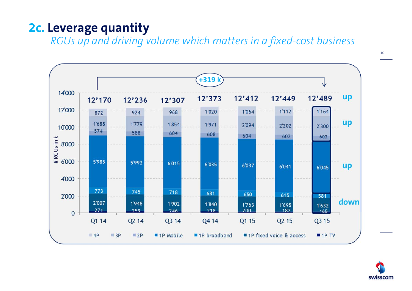#### **2c. Leverage quantity**

*RGUs up and driving volume which matters in a fixed-cost business* 





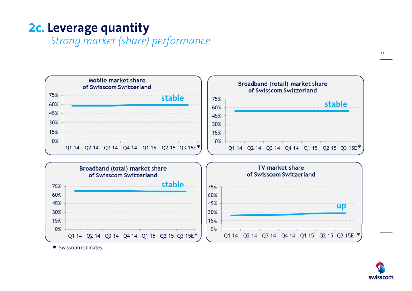#### **2c. Leverage quantity**

*Strong market (share) performance* 



\* Swisscom estimates

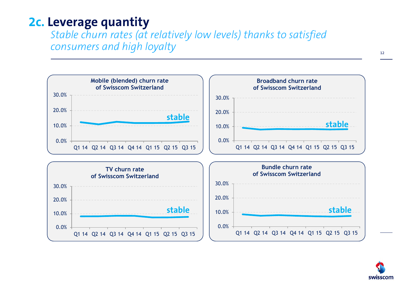#### **2c. Leverage quantity**

*Stable churn rates (at relatively low levels) thanks to satisfied consumers and high loyalty*



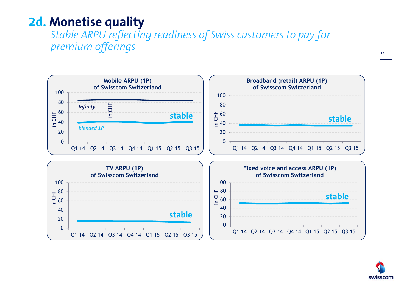#### **2d. Monetise quality**

*Stable ARPU reflecting readiness of Swiss customers to pay for premium offerings*



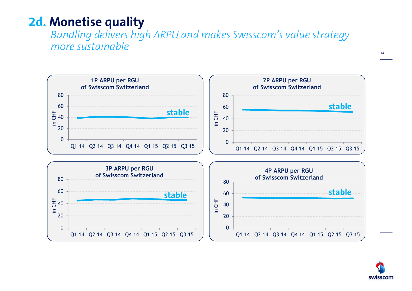#### **2d. Monetise quality**

*Bundling delivers high ARPU and makes Swisscom's value strategy more sustainable*



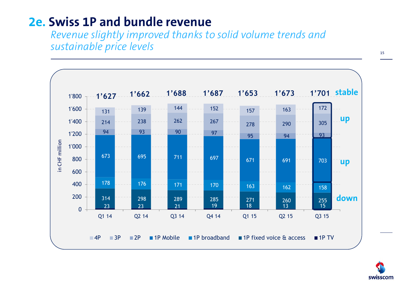#### **2e. Swiss 1P and bundle revenue**

*Revenue slightly improved thanks to solid volume trends and sustainable price levels*



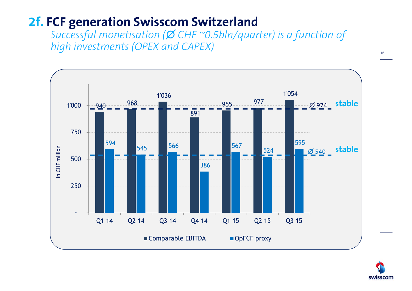#### **2f. FCF generation Swisscom Switzerland**

*Successful monetisation (∅ CHF ~0.5bln/quarter) is a function of high investments (OPEX and CAPEX)*



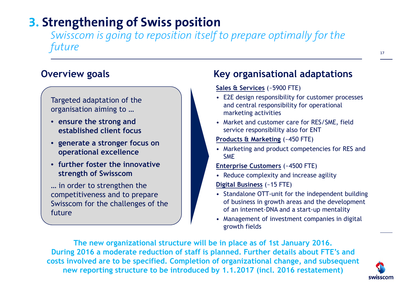#### **3. Strengthening of Swiss position**

*Swisscom is going to reposition itself to prepare optimally for the future*

Targeted adaptation of the organisation aiming to …

- **ensure the strong and established client focus**
- **generate a stronger focus on operational excellence**
- **further foster the innovative strength of Swisscom**

… in order to strengthen the competitiveness and to prepare Swisscom for the challenges of the future

#### **Overview goals Key organisational adaptations**

#### **Sales & Services** (~5900 FTE)

- E2E design responsibility for customer processes and central responsibility for operational marketing activities
- Market and customer care for RES/SME, field service responsibility also for ENT
- **Products & Marketing** (~450 FTE)
- Marketing and product competencies for RES and SME
- **Enterprise Customers** (~4500 FTE)
- Reduce complexity and increase agility

**Digital Business** (~15 FTE)

- Standalone OTT-unit for the independent building of business in growth areas and the development of an internet-DNA and a start-up mentality
- Management of investment companies in digital growth fields

**The new organizational structure will be in place as of 1st January 2016. During 2016 a moderate reduction of staff is planned. Further details about FTE's and costs involved are to be specified. Completion of organizational change, and subsequent new reporting structure to be introduced by 1.1.2017 (incl. 2016 restatement)**

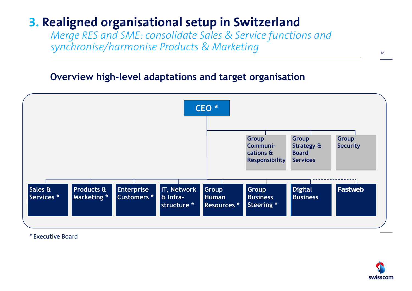#### **3. Realigned organisational setup in Switzerland**

*Merge RES and SME: consolidate Sales & Service functions and synchronise/harmonise Products & Marketing*

#### **Overview high-level adaptations and target organisation**



\* Executive Board

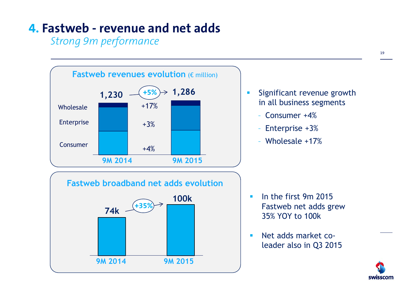#### **4. Fastweb - revenue and net adds**

*Strong 9m performance* 



19

swisscom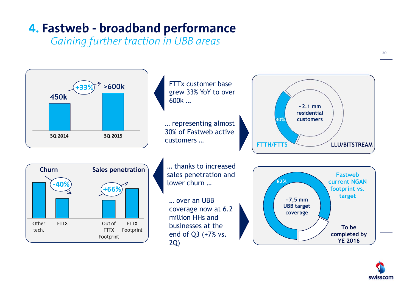### **4. Fastweb - broadband performance**

*Gaining further traction in UBB areas*



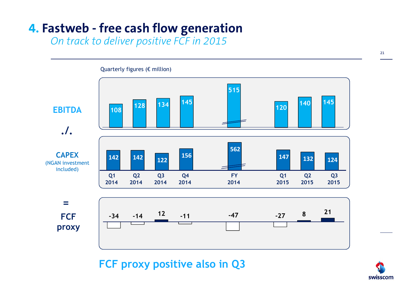### **4. Fastweb - free cash flow generation**

*On track to deliver positive FCF in 2015*

Quarterly figures (€ million) **515 <sup>140</sup> <sup>145</sup> <sup>128</sup> <sup>134</sup> <sup>145</sup> 120EBITDA108** $\equiv$ **./. 562CAPEX <sup>156</sup> 147142 142 132 124 122**(NGAN investment included) **Q1 Q2 Q3 Q4 FYQ1 Q2 Q3 20142014201420142014201520152015= <sup>12</sup> -11 -47 -27 <sup>8</sup> <sup>21</sup> FCF -14-34proxy**

#### **FCF proxy positive also in Q3**

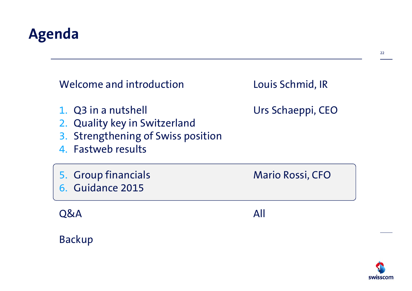## **Agenda**

| Welcome and introduction                                                                                         | Louis Schmid, IR        |
|------------------------------------------------------------------------------------------------------------------|-------------------------|
| 1. Q3 in a nutshell<br>2. Quality key in Switzerland<br>3. Strengthening of Swiss position<br>4. Fastweb results | Urs Schaeppi, CEO       |
| 5. Group financials<br>6. Guidance 2015                                                                          | <b>Mario Rossi, CFO</b> |
| <b>O&amp;A</b>                                                                                                   | All                     |
| <b>Backup</b>                                                                                                    |                         |

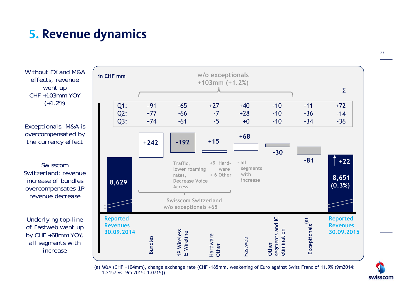#### **5. Revenue dynamics**

*Without FX and M&A effects, revenue went up CHF +103mm YOY (+1.2%)*

*Exceptionals: M&A is overcompensated by the currency effect*

*Swisscom Switzerland: revenue increase of bundles overcompensates 1P revenue decrease* 

*Underlying top-line of Fastweb went up by CHF +68mm YOY, all segments with increase*



(a) M&A (CHF +104mm), change exchange rate (CHF -185mm, weakening of Euro against Swiss Franc of 11.9% (9m2014: 1.2157 vs. 9m 2015: 1.0715))

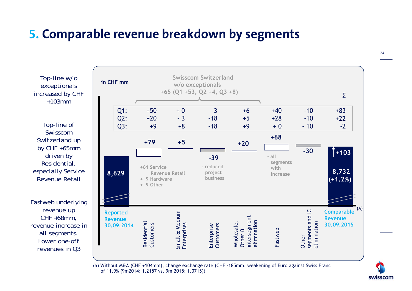#### **5. Comparable revenue breakdown by segments**

24

 *Top-line w/o exceptionals increased by CHF +103mm*

*Top-line of Swisscom Switzerland up by CHF +65mm driven by Residential, especially Service Revenue Retail*

*Fastweb underlying revenue up CHF +68mm, revenue increase in all segments. Lower one-off revenues in Q3*



of 11.9% (9m2014: 1.2157 vs. 9m 2015: 1.0715))

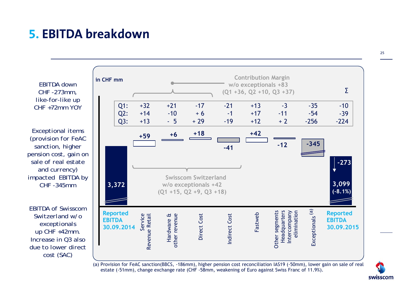#### **5. EBITDA breakdown**

*EBITDA down CHF -273mm, like-for-like up CHF +72mm YOY*

*Exceptional items (provision for FeAC sanction, higher pension cost, gain on sale of real estate and currency) impacted EBITDA by CHF -345mm*

*EBITDA of Swisscom Switzerland w/o exceptionals up CHF +42mm. Increase in Q3 also due to lower direct cost (SAC)* 



estate (-51mm), change exchange rate (CHF -58mm, weakening of Euro against Swiss Franc of 11.9%).

swisscom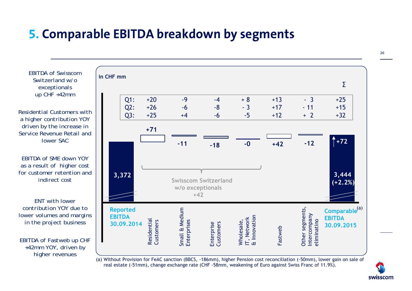#### **5. Comparable EBITDA breakdown by segments**

*EBITDA of Swisscom Switzerland w/o exceptionals up CHF +42mm*

*Residential Customers with a higher contribution YOY driven by the increase in Service Revenue Retail and lower SAC*

*EBITDA of SME down YOY as a result of higher cost for customer retention and indirect cost*

*ENT with lower contribution YOY due to lower volumes and margins in the project business*

*EBITDA of Fastweb up CHF +42mm YOY, driven by higher revenues* 

| in CHF mm     |                               |                          |                               |                             |                                           |                         |                                                | Σ                                                        |
|---------------|-------------------------------|--------------------------|-------------------------------|-----------------------------|-------------------------------------------|-------------------------|------------------------------------------------|----------------------------------------------------------|
|               | <b>Q1:</b><br>$Q2$ :<br>Q3:   | $+20$<br>$+26$<br>$+25$  | $-9$<br>$-6$<br>$+4$          | $-4$<br>$-8$<br>$-6$        | $+8$<br>$-3$<br>$-5$                      | $+13$<br>$+17$<br>$+12$ | $-3$<br>$-11$<br>$+2$                          | $+25$<br>$+15$<br>$+32$                                  |
|               |                               | $+71$                    | $-11$                         | $-18$                       | $-0$                                      | $+42$                   | $-12$                                          | $+72$                                                    |
|               | 3,372                         |                          | w/o exceptionals<br>$+42$     | <b>Swisscom Switzerland</b> |                                           |                         |                                                | 3,444<br>$(+2.2%)$                                       |
| <b>EBITDA</b> | <b>Reported</b><br>30.09.2014 | Residential<br>Customers | Small & Medium<br>Enterprises | Customers<br>Enterprise     | & Innovation<br>IT, Network<br>Wholesale, | Fastweb                 | Other segments,<br>Intercompany<br>eliminatino | Comparable <sup>(a)</sup><br><b>EBITDA</b><br>30.09.2015 |

(a) Without Provision for FeAC sanction (BBCS, -186mm), higher Pension cost reconciliation (-50mm), lower gain on sale of real estate (-51mm), change exchange rate (CHF -58mm, weakening of Euro against Swiss Franc of 11.9%).

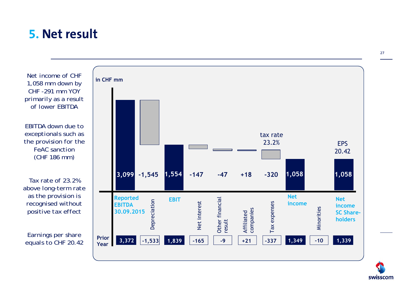#### **5. Net result**

*Net income of CHF 1,058 mm down by CHF -291 mm YOY primarily as a result of lower EBITDA*

*EBITDA down due to exceptionals such as the provision for the FeAC sanction(CHF 186 mm)*

*Tax rate of 23.2% above long-term rate as the provision is recognised without positive tax effect*

*Earnings per share equals to CHF 20.42*



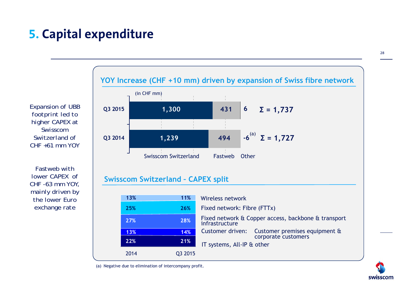## **5. Capital expenditure**

*Expansion of UBB footprint led to higher CAPEX at Swisscom Switzerland of CHF +61 mm YOY*

*Fastweb with lower CAPEX of CHF -63 mm YOY, mainly driven by the lower Euro exchange rate*

#### **1,239 1,300 494431 6 Q3 2014 Q3 2015** (in CHF mm)  $-6^{(a)}$  Σ = 1,727 **Σ = 1,737 YOY Increase (CHF +10 mm) driven by expansion of Swiss fibre network** Swisscom Switzerland Fastweb Other

#### **Swisscom Switzerland – CAPEX split**

| 13%  | 11%     | Wireless network                                                      |
|------|---------|-----------------------------------------------------------------------|
| 25%  | 26%     | Fixed network: Fibre (FTTx)                                           |
| 27%  | 28%     | Fixed network & Copper access, backbone & transport<br>infrastructure |
| 13%  | 14%     | Customer driven: Customer premises equipment &<br>corporate customers |
| 22%  | 21%     | IT systems, All-IP & other                                            |
| 2014 | Q3 2015 |                                                                       |

(a) Negative due to elimination of intercompany profit.

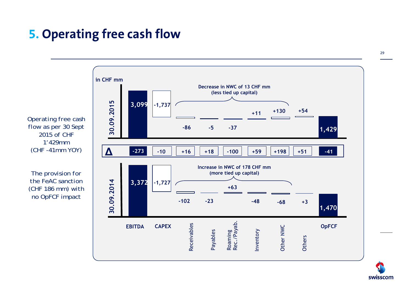### **5. Operating free cash flow**



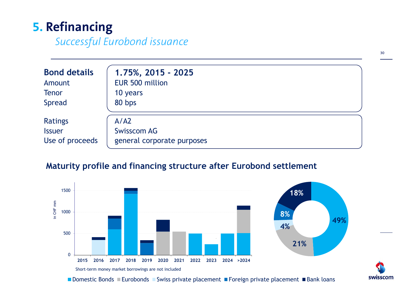### **5. Refinancing**

*Successful Eurobond issuance*

| <b>Bond details</b> | 1.75%, 2015 - 2025         |
|---------------------|----------------------------|
| Amount              | EUR 500 million            |
| <b>Tenor</b>        | 10 years                   |
| <b>Spread</b>       | 80 bps                     |
| <b>Ratings</b>      | A/42                       |
| <b>Issuer</b>       | <b>Swisscom AG</b>         |
| Use of proceeds     | general corporate purposes |

#### **Maturity profile and financing structure after Eurobond settlement**



Domestic Bonds ■Eurobonds ■Swiss private placement ■Foreign private placement ■Bank loans

30

swisscom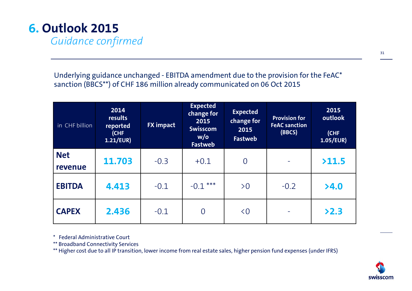## **6. Outlook 2015**

*Guidance confirmed*

Underlying guidance unchanged - EBITDA amendment due to the provision for the FeAC\* sanction (BBCS\*\*) of CHF 186 million already communicated on 06 Oct 2015

| in CHF billion        | 2014<br>results<br>reported<br>(CHF<br>1.21/EUR) | <b>FX impact</b> | <b>Expected</b><br>change for<br>2015<br>Swisscom<br>w/o<br>Fastweb | <b>Expected</b><br>change for<br>2015<br><b>Fastweb</b> | <b>Provision for</b><br><b>FeAC sanction</b><br>(BBCS) | 2015<br>outlook<br>(CHF<br>1.05/EUR) |
|-----------------------|--------------------------------------------------|------------------|---------------------------------------------------------------------|---------------------------------------------------------|--------------------------------------------------------|--------------------------------------|
| <b>Net</b><br>revenue | 11.703                                           | $-0.3$           | $+0.1$                                                              | $\overline{0}$                                          |                                                        | >11.5                                |
| <b>EBITDA</b>         | 4.413                                            | $-0.1$           | $-0.1***$                                                           | >0                                                      | $-0.2$                                                 | >4.0                                 |
| <b>CAPEX</b>          | 2.436                                            | $-0.1$           | $\overline{0}$                                                      | $\leq 0$                                                |                                                        | >2.3                                 |

\* Federal Administrative Court

\*\* Broadband Connectivity Services

\*\* Higher cost due to all IP transition, lower income from real estate sales, higher pension fund expenses (under IFRS)

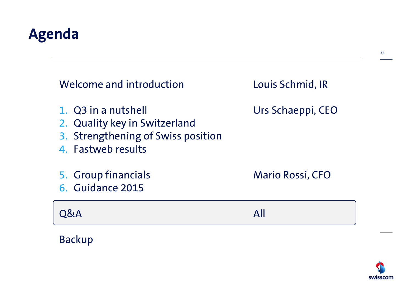## **Agenda**

Backup

| Welcome and introduction                                                                                         | Louis Schmid, IR        |
|------------------------------------------------------------------------------------------------------------------|-------------------------|
| 1. Q3 in a nutshell<br>2. Quality key in Switzerland<br>3. Strengthening of Swiss position<br>4. Fastweb results | Urs Schaeppi, CEO       |
| 5. Group financials<br>6. Guidance 2015                                                                          | <b>Mario Rossi, CFO</b> |
| O&A                                                                                                              | ΔII                     |

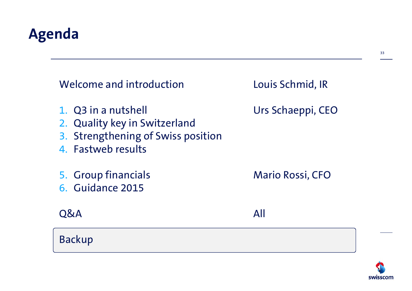## **Agenda**

| Welcome and introduction                                                                                         | Louis Schmid, IR        |
|------------------------------------------------------------------------------------------------------------------|-------------------------|
| 1. Q3 in a nutshell<br>2. Quality key in Switzerland<br>3. Strengthening of Swiss position<br>4. Fastweb results | Urs Schaeppi, CEO       |
| 5. Group financials<br>6. Guidance 2015                                                                          | <b>Mario Rossi, CFO</b> |
| <b>O&amp;A</b>                                                                                                   | All                     |
| <b>Backup</b>                                                                                                    |                         |

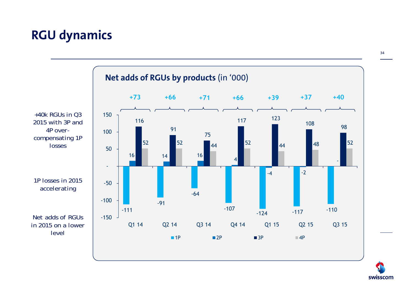#### **RGU dynamics**

*+40k RGUs in Q3 4P overlosses1P losses in 2015 accelerating level***Net adds of RGUs by products** (in '000) -111 -91 -64 -107  $-124$   $-117$   $-110$ 16 14 16 4  $-4$   $-2$ 116 91 75  $\frac{117}{2}$  123 108 98 98 52 52  $\frac{1}{44}$  52  $\frac{1}{44}$  52  $\frac{1}{44}$  48 52 -150 -100 -50 - 50 100 150 Q1 14 Q2 14 Q3 14 Q4 14 Q1 15 Q2 15 Q3 15  $-1P$ P ■ 2P ■ 3P ■ 4P **+73 +66 +71 +66 +39+37 +40**



*Net adds of RGUs in 2015 on a lower* 

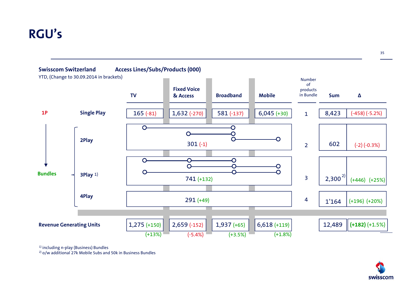#### **RGU's**



<sup>1)</sup> including n-play (Business) Bundles

<sup>2)</sup> o/w additional 27k Mobile Subs and 50k in Business Bundles

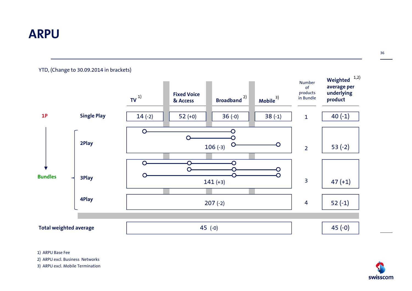#### **ARPU**

YTD, (Change to 30.09.2014 in brackets)



1) ARPU Base Fee

2) ARPU excl. Business Networks

3) ARPU excl. Mobile Termination

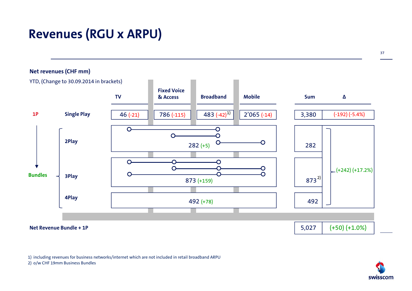### **Revenues (RGU x ARPU)**

37



1) including revenues for business networks/internet which are not included in retail broadband ARPU

2) o/w CHF 19mm Business Bundles

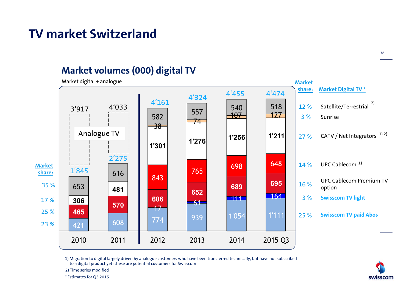#### **TV market Switzerland**

#### **Market volumes (000) digital TV**



1) Migration to digital largely driven by analogue customers who have been transferred technically, but have not subscribed to a digital product yet: these are potential customers for Swisscom

2) Time series modified

\* Estimates for Q3 2015

swisscom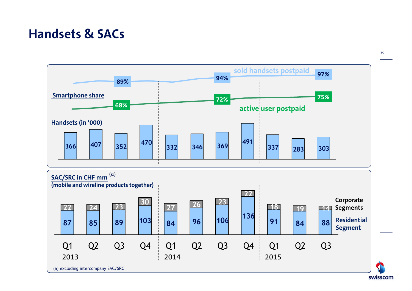#### **Handsets & SACs**

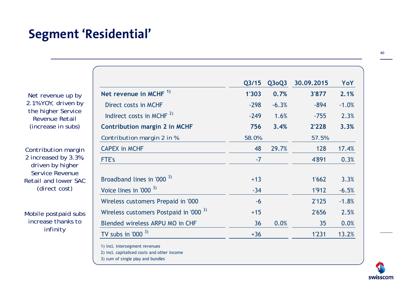#### **Segment 'Residential'**

*Net revenue up by 2.1% YOY, driven by the higher Service Revenue Retail (increase in subs)*

*Contribution margin 2 increased by 3.3%, driven by higher Service Revenue Retail and lower SAC (direct cost)*

*Mobile postpaid subs increase thanks to infinity*

3) sum of single play and bundles

|                                                                               | Q3/15  | Q3oQ3   | 30.09.2015 | YoY     |
|-------------------------------------------------------------------------------|--------|---------|------------|---------|
| Net revenue in MCHF <sup>1)</sup>                                             | 1'303  | 0.7%    | 3'877      | 2.1%    |
| Direct costs in MCHF                                                          | $-298$ | $-6.3%$ | $-894$     | $-1.0%$ |
| Indirect costs in MCHF $^{2)}$                                                | $-249$ | 1.6%    | $-755$     | 2.3%    |
| <b>Contribution margin 2 in MCHF</b>                                          | 756    | 3.4%    | 2'228      | 3.3%    |
| Contribution margin 2 in %                                                    | 58.0%  |         | 57.5%      |         |
| <b>CAPEX in MCHF</b>                                                          | 48     | 29.7%   | 128        | 17.4%   |
| FTE's                                                                         | $-7$   |         | 4'891      | 0.3%    |
| Broadband lines in '000 <sup>3)</sup>                                         | $+13$  |         | 1'662      | 3.3%    |
| Voice lines in '000 $3$ )                                                     | $-34$  |         | 1'912      | $-6.5%$ |
| Wireless customers Prepaid in '000                                            | $-6$   |         | 2'125      | $-1.8%$ |
| Wireless customers Postpaid in '000 <sup>3)</sup>                             | $+15$  |         | 2'656      | 2.5%    |
| Blended wireless ARPU MO in CHF                                               | 36     | 0.0%    | 35         | 0.0%    |
| TV subs in '000 $3$ )                                                         | $+36$  |         | 1'231      | 13.2%   |
| 1) incl. intersegment revenues<br>2) incl. capitalised costs and other income |        |         |            |         |

swisscom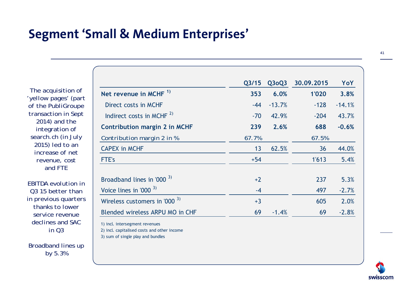#### **Segment 'Small & Medium Enterprises'**

*The acquisition of 'yellow pages' (part of the PubliGroupe transaction in Sept 2014) and the integration of search.ch (in July 2015) led to an increase of net revenue, cost and FTE*

*EBITDA evolution in Q3 15 better than in previous quarters thanks to lower service revenue declines and SAC in Q3* 

*Broadband lines up by 5.3%*

|                                                                                                                    | Q <sub>3/15</sub> | Q3oQ3    | 30.09.2015 | YoY      |
|--------------------------------------------------------------------------------------------------------------------|-------------------|----------|------------|----------|
| Net revenue in MCHF <sup>1)</sup>                                                                                  | 353               | 6.0%     | 1'020      | 3.8%     |
| Direct costs in MCHF                                                                                               | $-44$             | $-13.7%$ | $-128$     | $-14.1%$ |
| Indirect costs in MCHF <sup>2)</sup>                                                                               | $-70$             | 42.9%    | $-204$     | 43.7%    |
| <b>Contribution margin 2 in MCHF</b>                                                                               | 239               | 2.6%     | 688        | $-0.6%$  |
| Contribution margin 2 in %                                                                                         | 67.7%             |          | 67.5%      |          |
| <b>CAPEX in MCHF</b>                                                                                               | 13                | 62.5%    | 36         | 44.0%    |
| FTE's                                                                                                              | $+54$             |          | 1'613      | 5.4%     |
| Broadband lines in '000 <sup>3)</sup>                                                                              | $+2$              |          | 237        | 5.3%     |
| Voice lines in '000 $3$ )                                                                                          | $-4$              |          | 497        | $-2.7%$  |
| Wireless customers in '000 $3$ )                                                                                   | $+3$              |          | 605        | 2.0%     |
| Blended wireless ARPU MO in CHF                                                                                    | 69                | $-1.4%$  | 69         | $-2.8%$  |
| 1) incl. intersegment revenues<br>2) incl. capitalised costs and other income<br>3) sum of single play and bundles |                   |          |            |          |

swisscom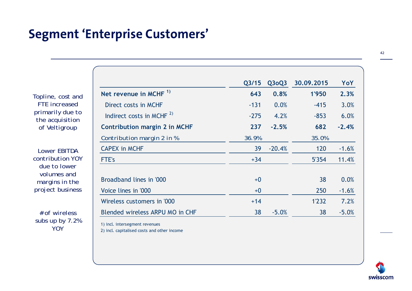#### **Segment 'Enterprise Customers'**

*Topline, cost and FTE increased primarily due to the acquisition of Veltigroup* 

*Lower EBITDA contribution YOY due to lower volumes and margins in the project business*

*# of wireless subs up by 7.2% YOY*

|                                   | Q <sub>3/15</sub> | Q3oQ3    | 30,09,2015 | YoY     |
|-----------------------------------|-------------------|----------|------------|---------|
| Net revenue in MCHF <sup>1)</sup> | 643               | 0.8%     | 1'950      | 2.3%    |
| Direct costs in MCHF              | $-131$            | 0.0%     | $-415$     | 3.0%    |
| Indirect costs in MCHF $^{2)}$    | $-275$            | 4.2%     | $-853$     | 6.0%    |
| Contribution margin 2 in MCHF     | 237               | $-2.5%$  | 682        | $-2.4%$ |
| Contribution margin 2 in %        | 36.9%             |          | 35.0%      |         |
| <b>CAPEX in MCHF</b>              | 39                | $-20.4%$ | 120        | $-1.6%$ |
| FTE's                             | $+34$             |          | 5'354      | 11.4%   |
| Broadband lines in '000           | $+0$              |          | 38         | 0.0%    |
| Voice lines in '000               | $+0$              |          | 250        | $-1.6%$ |
| Wireless customers in '000        | $+14$             |          | 1'232      | 7.2%    |
| Blended wireless ARPU MO in CHF   | 38                | $-5.0%$  | 38         | $-5.0%$ |

1) incl. intersegment revenues

2) incl. capitalised costs and other income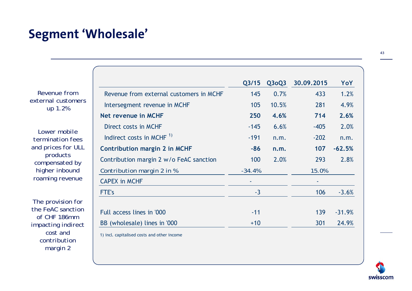#### **Segment 'Wholesale'**

43

| Revenue from       |
|--------------------|
| external customers |
| up 1.2%            |

*Lower mobile termination fees and prices for ULL products compensated by higher inbound roaming revenue*

*The provision for the FeAC sanction of CHF 186mm impacting indirect cost and contribution margin 2*

|                                         | Q <sub>3/15</sub> | $Q$ 3 $O$ 23 | 30.09.2015 | YoY      |
|-----------------------------------------|-------------------|--------------|------------|----------|
| Revenue from external customers in MCHF | 145               | 0.7%         | 433        | 1.2%     |
| Intersegment revenue in MCHF            | 105               | 10.5%        | 281        | 4.9%     |
| <b>Net revenue in MCHF</b>              | 250               | 4.6%         | 714        | 2.6%     |
| Direct costs in MCHF                    | $-145$            | 6.6%         | $-405$     | 2.0%     |
| Indirect costs in MCHF $1$              | $-191$            | n.m.         | $-202$     | n.m.     |
| <b>Contribution margin 2 in MCHF</b>    | $-86$             | n.m.         | 107        | $-62.5%$ |
| Contribution margin 2 w/o FeAC sanction | 100               | 2.0%         | 293        | 2.8%     |
| Contribution margin 2 in %              | $-34.4%$          |              | 15.0%      |          |
| <b>CAPEX in MCHF</b>                    |                   |              |            |          |
| FTE's                                   | $-3$              |              | 106        | $-3.6%$  |
|                                         |                   |              |            |          |
| Full access lines in '000               | $-11$             |              | 139        | $-31.9%$ |
| BB (wholesale) lines in '000            | $+10$             |              | 301        | 24.9%    |

1) incl. capitalised costs and other income

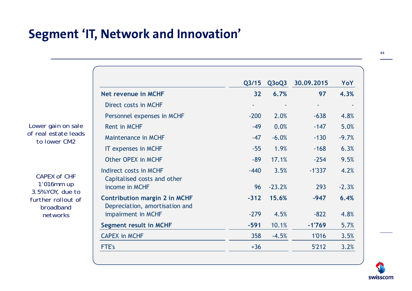#### **Segment 'IT, Network and Innovation'**

|                                                                        | Q3/15  | Q3oQ3    | 30.09.2015 | YoY     |
|------------------------------------------------------------------------|--------|----------|------------|---------|
| Net revenue in MCHF                                                    | 32     | 6.7%     | 97         | 4.3%    |
| Direct costs in MCHF                                                   |        |          |            |         |
| Personnel expenses in MCHF                                             | $-200$ | 2.0%     | $-638$     | 4.8%    |
| <b>Rent in MCHF</b>                                                    | $-49$  | 0.0%     | $-147$     | 5.0%    |
| <b>Maintenance in MCHF</b>                                             | $-47$  | $-6.0%$  | $-130$     | $-9.7%$ |
| <b>IT expenses in MCHF</b>                                             | $-55$  | 1.9%     | $-168$     | 6.3%    |
| Other OPEX in MCHF                                                     | $-89$  | 17.1%    | $-254$     | 9.5%    |
| Indirect costs in MCHF<br>Capitalised costs and other                  | $-440$ | 3.5%     | $-1'337$   | 4.2%    |
| income in MCHF                                                         | 96     | $-23.2%$ | 293        | $-2.3%$ |
| <b>Contribution margin 2 in MCHF</b><br>Depreciation, amortisation and | $-312$ | 15.6%    | $-947$     | 6.4%    |
| impairment in MCHF                                                     | $-279$ | 4.5%     | $-822$     | 4.8%    |
| <b>Segment result in MCHF</b>                                          | $-591$ | 10.1%    | $-1'769$   | 5.7%    |
| <b>CAPEX in MCHF</b>                                                   | 358    | $-4.5%$  | 1'016      | 3.5%    |
| <b>FTE's</b>                                                           | $+36$  |          | 5'212      | 3.2%    |

*Lower gain on sale of real estate leads to lower CM2*

*CAPEX of CHF 1'016mm up 3.5% YOY, due to further rollout of broadband networks*

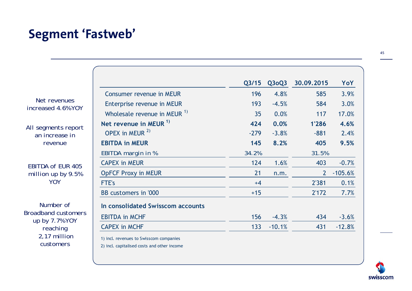## **Segment 'Fastweb'**

 $\sqrt{2}$ 

| I<br>×<br>۰. |
|--------------|

|                                              |                                                                                       | Q3/15  | Q3oQ3    | 30.09.2015     | YoY       |
|----------------------------------------------|---------------------------------------------------------------------------------------|--------|----------|----------------|-----------|
|                                              | <b>Consumer revenue in MEUR</b>                                                       | 196    | 4.8%     | 585            | 3.9%      |
| Net revenues<br>increased 4.6% YOY           | Enterprise revenue in MEUR                                                            | 193    | $-4.5%$  | 584            | 3.0%      |
|                                              | Wholesale revenue in MEUR <sup>1)</sup>                                               | 35     | 0.0%     | 117            | 17.0%     |
| All segments report                          | Net revenue in MEUR <sup>1)</sup>                                                     | 424    | 0.0%     | 1'286          | 4.6%      |
| an increase in                               | OPEX in MEUR <sup>2)</sup>                                                            | $-279$ | $-3.8%$  | $-881$         | 2.4%      |
| revenue                                      | <b>EBITDA in MEUR</b>                                                                 | 145    | 8.2%     | 405            | 9.5%      |
|                                              | EBITDA margin in %                                                                    | 34.2%  |          | 31.5%          |           |
| <b>EBITDA of EUR 405</b>                     | <b>CAPEX in MEUR</b>                                                                  | 124    | 1.6%     | 403            | $-0.7%$   |
| million up by $9.5%$                         | <b>OpFCF Proxy in MEUR</b>                                                            | 21     | n.m.     | 2 <sup>1</sup> | $-105.6%$ |
| YOY                                          | FTE's                                                                                 | $+4$   |          | 2'381          | 0.1%      |
|                                              | BB customers in '000                                                                  | $+15$  |          | 2'172          | 7.7%      |
| Number of                                    | In consolidated Swisscom accounts                                                     |        |          |                |           |
| <b>Broadband customers</b><br>up by 7.7% YOY | <b>EBITDA in MCHF</b>                                                                 | 156    | $-4.3%$  | 434            | $-3.6%$   |
| reaching                                     | <b>CAPEX in MCHF</b>                                                                  | 133    | $-10.1%$ | 431            | $-12.8%$  |
| 2,17 million<br>customers                    | 1) incl. revenues to Swisscom companies<br>2) incl capitalised costs and other income |        |          |                |           |

2) incl. capitalised costs and other income

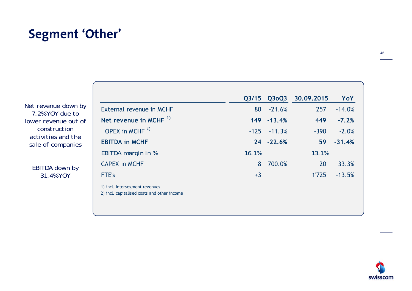#### **Segment 'Other'**

*Net revenue down by 7.2% YOY due to lower revenue out of construction activities and the sale of companies*

> *EBITDA down by 31.4% YOY*

| External revenue in MCHF<br>Net revenue in MCHF $1$<br>OPEX in MCHF $2)$<br><b>EBITDA in MCHF</b> | 80<br>149 - 13.4%<br>$-125 - 11.3%$ | $-21.6%$ | 257<br>449 | $-14.0%$<br>$-7.2%$ |
|---------------------------------------------------------------------------------------------------|-------------------------------------|----------|------------|---------------------|
|                                                                                                   |                                     |          |            |                     |
|                                                                                                   |                                     |          |            |                     |
|                                                                                                   |                                     |          | $-390$     | $-2.0%$             |
|                                                                                                   | 24 - 22.6%                          |          | 59         | $-31.4%$            |
| EBITDA margin in %<br>16.1%                                                                       |                                     |          | 13.1%      |                     |
| <b>CAPEX in MCHF</b>                                                                              | 8                                   | 700.0%   | 20         | 33.3%               |
| <b>FTE's</b><br>$+3$                                                                              |                                     |          | 1'725      | $-13.5%$            |

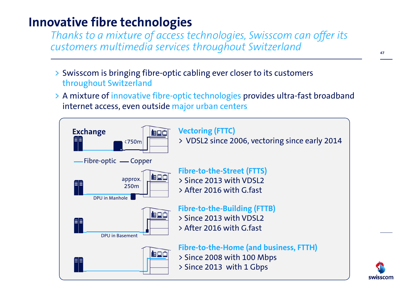#### **Innovative fibre technologies**

*Thanks to a mixture of access technologies, Swisscom can offer its customers multimedia services throughout Switzerland*

- > Swisscom is bringing fibre-optic cabling ever closer to its customers throughout Switzerland
- > A mixture of innovative fibre-optic technologies provides ultra-fast broadband internet access, even outside major urban centers



47

swisscom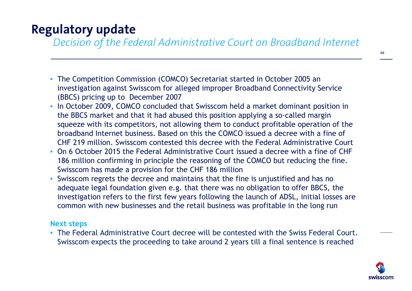#### **Regulatory update**

*Decision of the Federal Administrative Court on Broadband Internet*

- The Competition Commission (COMCO) Secretariat started in October 2005 an investigation against Swisscom for alleged improper Broadband Connectivity Service (BBCS) pricing up to December 2007
- In October 2009, COMCO concluded that Swisscom held a market dominant position in the BBCS market and that it had abused this position applying a so-called margin squeeze with its competitors, not allowing them to conduct profitable operation of the broadband Internet business. Based on this the COMCO issued a decree with a fine of CHF 219 million. Swisscom contested this decree with the Federal Administrative Court
- On 6 October 2015 the Federal Administrative Court issued a decree with a fine of CHF 186 million confirming in principle the reasoning of the COMCO but reducing the fine. Swisscom has made a provision for the CHF 186 million
- Swisscom regrets the decree and maintains that the fine is unjustified and has no adequate legal foundation given e.g. that there was no obligation to offer BBCS, the investigation refers to the first few years following the launch of ADSL, initial losses are common with new businesses and the retail business was profitable in the long run

#### **Next steps**

• The Federal Administrative Court decree will be contested with the Swiss Federal Court. Swisscom expects the proceeding to take around 2 years till a final sentence is reached